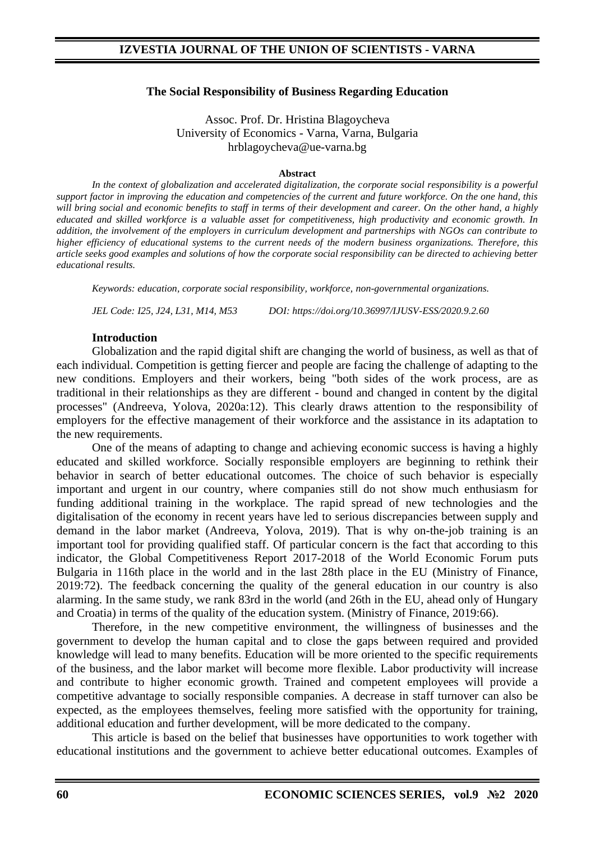### **The Social Responsibility of Business Regarding Education**

Assoc. Prof. Dr. Hristina Blagoycheva University of Economics - Varna, Varna, Bulgaria hrblagoycheva@ue-varna.bg

#### **Abstract**

In the context of globalization and accelerated digitalization, the corporate social responsibility is a powerful *support factor in improving the education and competencies of the current and future workforce. On the one hand, this will bring social and economic benefits to staff in terms of their development and career. On the other hand, a highly educated and skilled workforce is a valuable asset for competitiveness, high productivity and economic growth. In addition, the involvement of the employers in curriculum development and partnerships with NGOs can contribute to higher efficiency of educational systems to the current needs of the modern business organizations. Therefore, this article seeks good examples and solutions of how the corporate social responsibility can be directed to achieving better educational results.*

*Keywords: education, corporate social responsibility, workforce, non-governmental organizations.*

*JEL Code: I25, J24, L31, M14, M53 DOI: https://doi.org/10.36997/IJUSV-ESS/2020.9.2.60*

### **Introduction**

Globalization and the rapid digital shift are changing the world of business, as well as that of each individual. Competition is getting fiercer and people are facing the challenge of adapting to the new conditions. Employers and their workers, being "both sides of the work process, are as traditional in their relationships as they are different - bound and changed in content by the digital processes" (Andreeva, Yolova, 2020a:12). This clearly draws attention to the responsibility of employers for the effective management of their workforce and the assistance in its adaptation to the new requirements.

One of the means of adapting to change and achieving economic success is having a highly educated and skilled workforce. Socially responsible employers are beginning to rethink their behavior in search of better educational outcomes. The choice of such behavior is especially important and urgent in our country, where companies still do not show much enthusiasm for funding additional training in the workplace. The rapid spread of new technologies and the digitalisation of the economy in recent years have led to serious discrepancies between supply and demand in the labor market (Andreeva, Yolova, 2019). That is why on-the-job training is an important tool for providing qualified staff. Of particular concern is the fact that according to this indicator, the Global Competitiveness Report 2017-2018 of the World Economic Forum puts Bulgaria in 116th place in the world and in the last 28th place in the EU (Ministry of Finance, 2019:72). The feedback concerning the quality of the general education in our country is also alarming. In the same study, we rank 83rd in the world (and 26th in the EU, ahead only of Hungary and Croatia) in terms of the quality of the education system. (Ministry of Finance, 2019:66).

Therefore, in the new competitive environment, the willingness of businesses and the government to develop the human capital and to close the gaps between required and provided knowledge will lead to many benefits. Education will be more oriented to the specific requirements of the business, and the labor market will become more flexible. Labor productivity will increase and contribute to higher economic growth. Trained and competent employees will provide a competitive advantage to socially responsible companies. A decrease in staff turnover can also be expected, as the employees themselves, feeling more satisfied with the opportunity for training, additional education and further development, will be more dedicated to the company.

This article is based on the belief that businesses have opportunities to work together with educational institutions and the government to achieve better educational outcomes. Examples of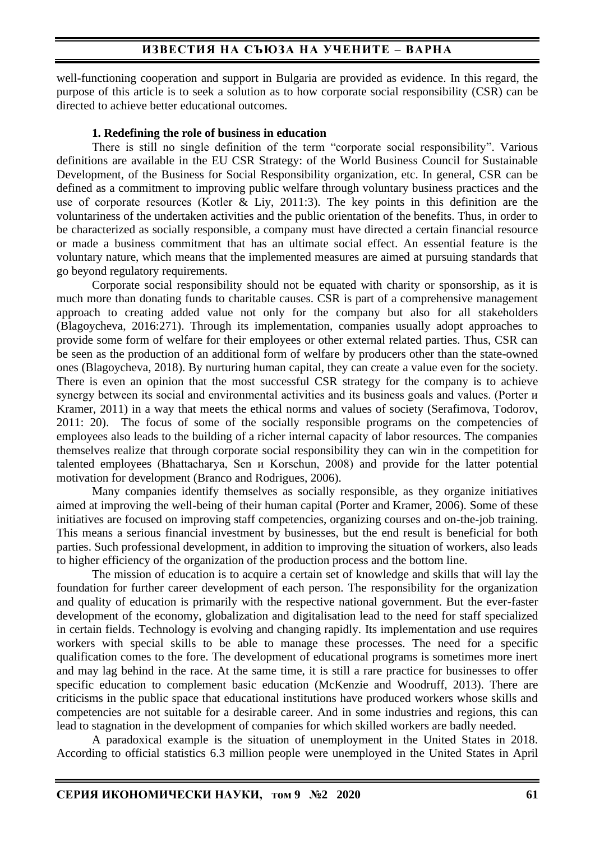## **ИЗВЕСТИЯ НА СЪЮЗА НА УЧЕНИТЕ – ВАРНА**

well-functioning cooperation and support in Bulgaria are provided as evidence. In this regard, the purpose of this article is to seek a solution as to how corporate social responsibility (CSR) can be directed to achieve better educational outcomes.

### **1. Redefining the role of business in education**

There is still no single definition of the term "corporate social responsibility". Various definitions are available in the EU CSR Strategy: of the World Business Council for Sustainable Development, of the Business for Social Responsibility organization, etc. In general, CSR can be defined as a commitment to improving public welfare through voluntary business practices and the use of corporate resources (Kotlеr & Liy, 2011:3). The key points in this definition are the voluntariness of the undertaken activities and the public orientation of the benefits. Thus, in order to be characterized as socially responsible, a company must have directed a certain financial resource or made a business commitment that has an ultimate social effect. An essential feature is the voluntary nature, which means that the implemented measures are aimed at pursuing standards that go beyond regulatory requirements.

Corporate social responsibility should not be equated with charity or sponsorship, as it is much more than donating funds to charitable causes. CSR is part of a comprehensive management approach to creating added value not only for the company but also for all stakeholders (Blagoycheva, 2016:271). Through its implementation, companies usually adopt approaches to provide some form of welfare for their employees or other external related parties. Thus, CSR can be seen as the production of an additional form of welfare by producers other than the state-owned ones (Blagoycheva, 2018). By nurturing human capital, they can create a value even for the society. There is even an opinion that the most successful CSR strategy for the company is to achieve synergy between its social and environmental activities and its business goals and values. (Porter и Kramer, 2011) in a way that meets the ethical norms and values of society (Serafimova, Todorov, 2011: 20). The focus of some of the socially responsible programs on the competencies of employees also leads to the building of a richer internal capacity of labor resources. The companies themselves realize that through corporate social responsibility they can win in the competition for talented employees (Bhattacharya, Sen и Korschun, 2008) and provide for the latter potential motivation for development (Branco and Rodrigues, 2006).

Many companies identify themselves as socially responsible, as they organize initiatives aimed at improving the well-being of their human capital (Porter and Kramer, 2006). Some of these initiatives are focused on improving staff competencies, organizing courses and on-the-job training. This means a serious financial investment by businesses, but the end result is beneficial for both parties. Such professional development, in addition to improving the situation of workers, also leads to higher efficiency of the organization of the production process and the bottom line.

The mission of education is to acquire a certain set of knowledge and skills that will lay the foundation for further career development of each person. The responsibility for the organization and quality of education is primarily with the respective national government. But the ever-faster development of the economy, globalization and digitalisation lead to the need for staff specialized in certain fields. Technology is evolving and changing rapidly. Its implementation and use requires workers with special skills to be able to manage these processes. The need for a specific qualification comes to the fore. The development of educational programs is sometimes more inert and may lag behind in the race. At the same time, it is still a rare practice for businesses to offer specific education to complement basic education (McKenzie and Woodruff, 2013). There are criticisms in the public space that educational institutions have produced workers whose skills and competencies are not suitable for a desirable career. And in some industries and regions, this can lead to stagnation in the development of companies for which skilled workers are badly needed.

A paradoxical example is the situation of unemployment in the United States in 2018. According to official statistics 6.3 million people were unemployed in the United States in April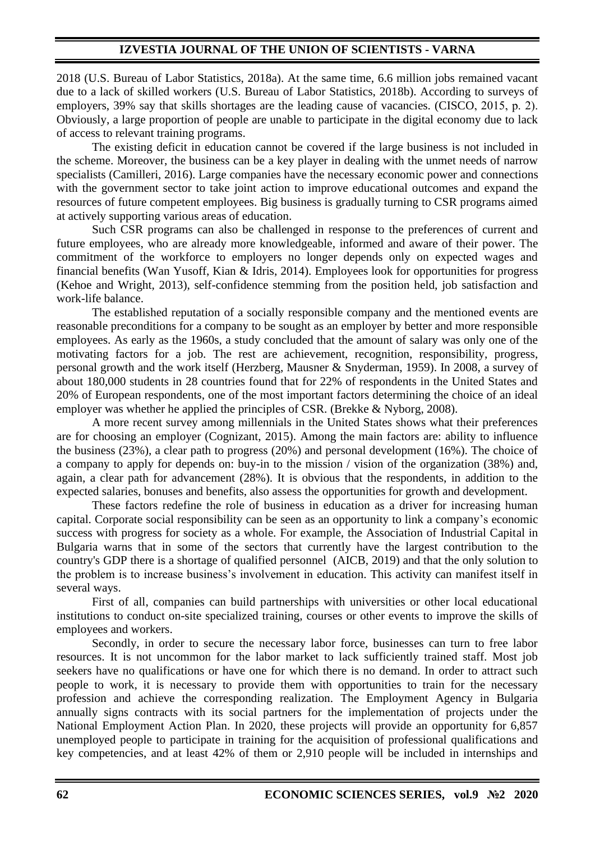2018 (U.S. Bureau of Labor Statistics, 2018a). At the same time, 6.6 million jobs remained vacant due to a lack of skilled workers (U.S. Bureau of Labor Statistics, 2018b). According to surveys of employers, 39% say that skills shortages are the leading cause of vacancies. (CISCO, 2015, p. 2). Obviously, a large proportion of people are unable to participate in the digital economy due to lack of access to relevant training programs.

The existing deficit in education cannot be covered if the large business is not included in the scheme. Moreover, the business can be a key player in dealing with the unmet needs of narrow specialists (Camilleri, 2016). Large companies have the necessary economic power and connections with the government sector to take joint action to improve educational outcomes and expand the resources of future competent employees. Big business is gradually turning to CSR programs aimed at actively supporting various areas of education.

Such CSR programs can also be challenged in response to the preferences of current and future employees, who are already more knowledgeable, informed and aware of their power. The commitment of the workforce to employers no longer depends only on expected wages and financial benefits (Wan Yusoff, Kian & Idris, 2014). Employees look for opportunities for progress (Kehoe and Wright, 2013), self-confidence stemming from the position held, job satisfaction and work-life balance.

The established reputation of a socially responsible company and the mentioned events are reasonable preconditions for a company to be sought as an employer by better and more responsible employees. As early as the 1960s, a study concluded that the amount of salary was only one of the motivating factors for a job. The rest are achievement, recognition, responsibility, progress, personal growth and the work itself (Herzberg, Mausner & Snyderman, 1959). In 2008, a survey of about 180,000 students in 28 countries found that for 22% of respondents in the United States and 20% of European respondents, one of the most important factors determining the choice of an ideal employer was whether he applied the principles of CSR. (Brekke & Nyborg, 2008).

A more recent survey among millennials in the United States shows what their preferences are for choosing an employer (Cognizant, 2015). Among the main factors are: ability to influence the business (23%), a clear path to progress (20%) and personal development (16%). The choice of a company to apply for depends on: buy-in to the mission / vision of the organization (38%) and, again, a clear path for advancement (28%). It is obvious that the respondents, in addition to the expected salaries, bonuses and benefits, also assess the opportunities for growth and development.

These factors redefine the role of business in education as a driver for increasing human capital. Corporate social responsibility can be seen as an opportunity to link a company's economic success with progress for society as a whole. For example, the Association of Industrial Capital in Bulgaria warns that in some of the sectors that currently have the largest contribution to the country's GDP there is a shortage of qualified personnel (AICB, 2019) and that the only solution to the problem is to increase business's involvement in education. This activity can manifest itself in several ways.

First of all, companies can build partnerships with universities or other local educational institutions to conduct on-site specialized training, courses or other events to improve the skills of employees and workers.

Secondly, in order to secure the necessary labor force, businesses can turn to free labor resources. It is not uncommon for the labor market to lack sufficiently trained staff. Most job seekers have no qualifications or have one for which there is no demand. In order to attract such people to work, it is necessary to provide them with opportunities to train for the necessary profession and achieve the corresponding realization. The Employment Agency in Bulgaria annually signs contracts with its social partners for the implementation of projects under the National Employment Action Plan. In 2020, these projects will provide an opportunity for 6,857 unemployed people to participate in training for the acquisition of professional qualifications and key competencies, and at least 42% of them or 2,910 people will be included in internships and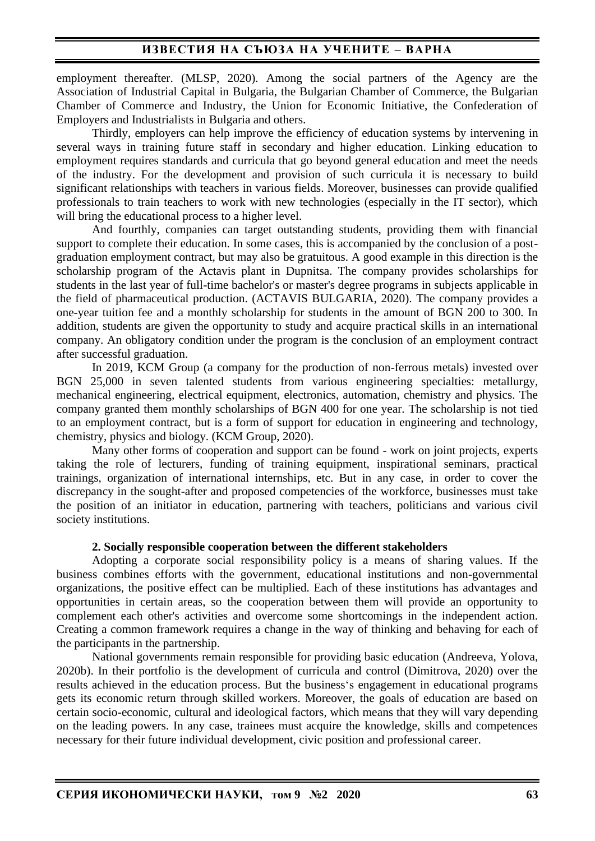employment thereafter. (MLSP, 2020). Among the social partners of the Agency are the Association of Industrial Capital in Bulgaria, the Bulgarian Chamber of Commerce, the Bulgarian Chamber of Commerce and Industry, the Union for Economic Initiative, the Confederation of Employers and Industrialists in Bulgaria and others.

Thirdly, employers can help improve the efficiency of education systems by intervening in several ways in training future staff in secondary and higher education. Linking education to employment requires standards and curricula that go beyond general education and meet the needs of the industry. For the development and provision of such curricula it is necessary to build significant relationships with teachers in various fields. Moreover, businesses can provide qualified professionals to train teachers to work with new technologies (especially in the IT sector), which will bring the educational process to a higher level.

And fourthly, companies can target outstanding students, providing them with financial support to complete their education. In some cases, this is accompanied by the conclusion of a postgraduation employment contract, but may also be gratuitous. A good example in this direction is the scholarship program of the Actavis plant in Dupnitsa. The company provides scholarships for students in the last year of full-time bachelor's or master's degree programs in subjects applicable in the field of pharmaceutical production. (ACTAVIS BULGARIA, 2020). The company provides a one-year tuition fee and a monthly scholarship for students in the amount of BGN 200 to 300. In addition, students are given the opportunity to study and acquire practical skills in an international company. An obligatory condition under the program is the conclusion of an employment contract after successful graduation.

In 2019, KCM Group (a company for the production of non-ferrous metals) invested over BGN 25,000 in seven talented students from various engineering specialties: metallurgy, mechanical engineering, electrical equipment, electronics, automation, chemistry and physics. The company granted them monthly scholarships of BGN 400 for one year. The scholarship is not tied to an employment contract, but is a form of support for education in engineering and technology, chemistry, physics and biology. (KCM Group, 2020).

Many other forms of cooperation and support can be found - work on joint projects, experts taking the role of lecturers, funding of training equipment, inspirational seminars, practical trainings, organization of international internships, etc. But in any case, in order to cover the discrepancy in the sought-after and proposed competencies of the workforce, businesses must take the position of an initiator in education, partnering with teachers, politicians and various civil society institutions.

### **2. Socially responsible cooperation between the different stakeholders**

Adopting a corporate social responsibility policy is a means of sharing values. If the business combines efforts with the government, educational institutions and non-governmental organizations, the positive effect can be multiplied. Each of these institutions has advantages and opportunities in certain areas, so the cooperation between them will provide an opportunity to complement each other's activities and overcome some shortcomings in the independent action. Creating a common framework requires a change in the way of thinking and behaving for each of the participants in the partnership.

National governments remain responsible for providing basic education (Andreeva, Yolova, 2020b). In their portfolio is the development of curricula and control (Dimitrova, 2020) over the results achieved in the education process. But the business's engagement in educational programs gets its economic return through skilled workers. Moreover, the goals of education are based on certain socio-economic, cultural and ideological factors, which means that they will vary depending on the leading powers. In any case, trainees must acquire the knowledge, skills and competences necessary for their future individual development, civic position and professional career.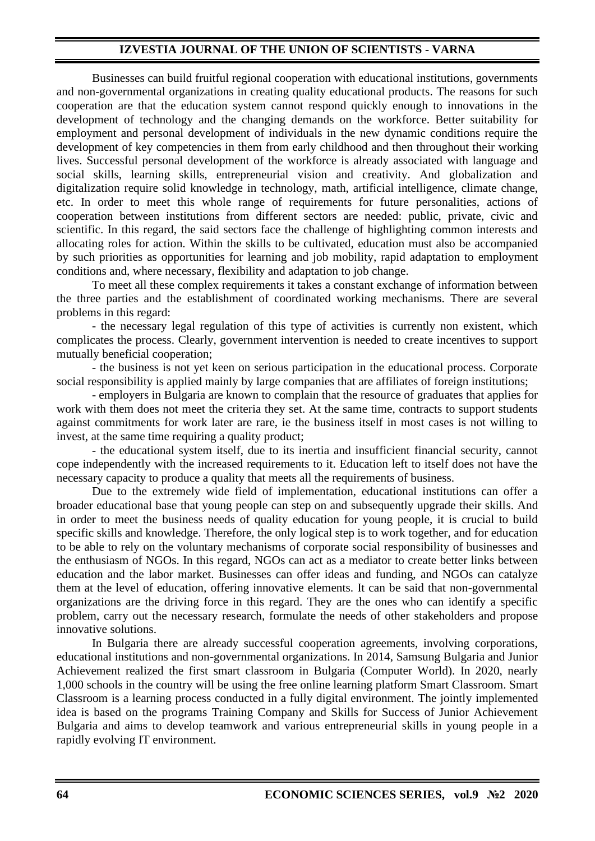## **IZVESTIA JOURNAL OF THE UNION OF SCIENTISTS - VARNA**

Businesses can build fruitful regional cooperation with educational institutions, governments and non-governmental organizations in creating quality educational products. The reasons for such cooperation are that the education system cannot respond quickly enough to innovations in the development of technology and the changing demands on the workforce. Better suitability for employment and personal development of individuals in the new dynamic conditions require the development of key competencies in them from early childhood and then throughout their working lives. Successful personal development of the workforce is already associated with language and social skills, learning skills, entrepreneurial vision and creativity. And globalization and digitalization require solid knowledge in technology, math, artificial intelligence, climate change, etc. In order to meet this whole range of requirements for future personalities, actions of cooperation between institutions from different sectors are needed: public, private, civic and scientific. In this regard, the said sectors face the challenge of highlighting common interests and allocating roles for action. Within the skills to be cultivated, education must also be accompanied by such priorities as opportunities for learning and job mobility, rapid adaptation to employment conditions and, where necessary, flexibility and adaptation to job change.

To meet all these complex requirements it takes a constant exchange of information between the three parties and the establishment of coordinated working mechanisms. There are several problems in this regard:

- the necessary legal regulation of this type of activities is currently non existent, which complicates the process. Clearly, government intervention is needed to create incentives to support mutually beneficial cooperation;

- the business is not yet keen on serious participation in the educational process. Corporate social responsibility is applied mainly by large companies that are affiliates of foreign institutions;

- employers in Bulgaria are known to complain that the resource of graduates that applies for work with them does not meet the criteria they set. At the same time, contracts to support students against commitments for work later are rare, ie the business itself in most cases is not willing to invest, at the same time requiring a quality product;

- the educational system itself, due to its inertia and insufficient financial security, cannot cope independently with the increased requirements to it. Education left to itself does not have the necessary capacity to produce a quality that meets all the requirements of business.

Due to the extremely wide field of implementation, educational institutions can offer a broader educational base that young people can step on and subsequently upgrade their skills. And in order to meet the business needs of quality education for young people, it is crucial to build specific skills and knowledge. Therefore, the only logical step is to work together, and for education to be able to rely on the voluntary mechanisms of corporate social responsibility of businesses and the enthusiasm of NGOs. In this regard, NGOs can act as a mediator to create better links between education and the labor market. Businesses can offer ideas and funding, and NGOs can catalyze them at the level of education, offering innovative elements. It can be said that non-governmental organizations are the driving force in this regard. They are the ones who can identify a specific problem, carry out the necessary research, formulate the needs of other stakeholders and propose innovative solutions.

In Bulgaria there are already successful cooperation agreements, involving corporations, educational institutions and non-governmental organizations. In 2014, Samsung Bulgaria and Junior Achievement realized the first smart classroom in Bulgaria (Computer World). In 2020, nearly 1,000 schools in the country will be using the free online learning platform Smart Classroom. Smart Classroom is a learning process conducted in a fully digital environment. The jointly implemented idea is based on the programs Training Company and Skills for Success of Junior Achievement Bulgaria and aims to develop teamwork and various entrepreneurial skills in young people in a rapidly evolving IT environment.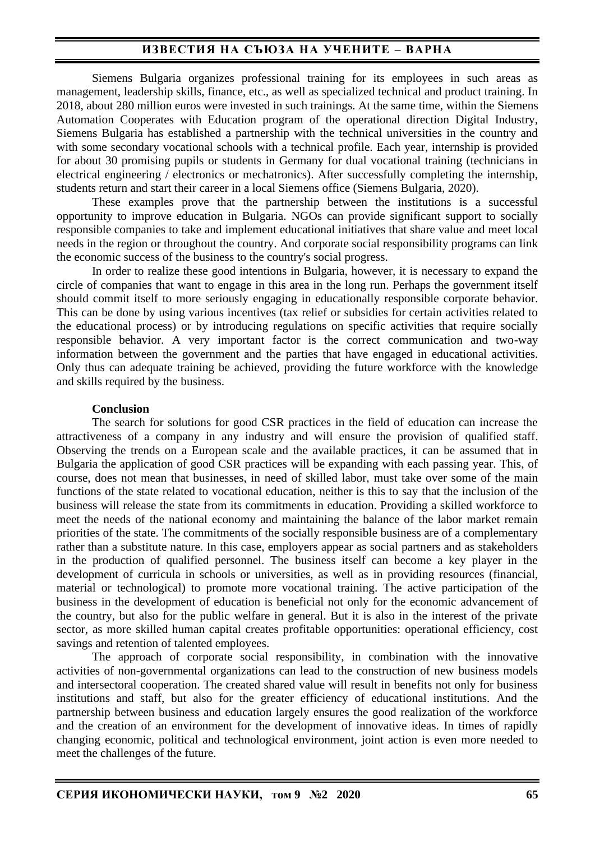## **ИЗВЕСТИЯ НА СЪЮЗА НА УЧЕНИТЕ – ВАРНА**

Siemens Bulgaria organizes professional training for its employees in such areas as management, leadership skills, finance, etc., as well as specialized technical and product training. In 2018, about 280 million euros were invested in such trainings. At the same time, within the Siemens Automation Cooperates with Education program of the operational direction Digital Industry, Siemens Bulgaria has established a partnership with the technical universities in the country and with some secondary vocational schools with a technical profile. Each year, internship is provided for about 30 promising pupils or students in Germany for dual vocational training (technicians in electrical engineering / electronics or mechatronics). After successfully completing the internship, students return and start their career in a local Siemens office (Siemens Bulgaria, 2020).

These examples prove that the partnership between the institutions is a successful opportunity to improve education in Bulgaria. NGOs can provide significant support to socially responsible companies to take and implement educational initiatives that share value and meet local needs in the region or throughout the country. And corporate social responsibility programs can link the economic success of the business to the country's social progress.

In order to realize these good intentions in Bulgaria, however, it is necessary to expand the circle of companies that want to engage in this area in the long run. Perhaps the government itself should commit itself to more seriously engaging in educationally responsible corporate behavior. This can be done by using various incentives (tax relief or subsidies for certain activities related to the educational process) or by introducing regulations on specific activities that require socially responsible behavior. A very important factor is the correct communication and two-way information between the government and the parties that have engaged in educational activities. Only thus can adequate training be achieved, providing the future workforce with the knowledge and skills required by the business.

### **Conclusion**

The search for solutions for good CSR practices in the field of education can increase the attractiveness of a company in any industry and will ensure the provision of qualified staff. Observing the trends on a European scale and the available practices, it can be assumed that in Bulgaria the application of good CSR practices will be expanding with each passing year. This, of course, does not mean that businesses, in need of skilled labor, must take over some of the main functions of the state related to vocational education, neither is this to say that the inclusion of the business will release the state from its commitments in education. Providing a skilled workforce to meet the needs of the national economy and maintaining the balance of the labor market remain priorities of the state. The commitments of the socially responsible business are of a complementary rather than a substitute nature. In this case, employers appear as social partners and as stakeholders in the production of qualified personnel. The business itself can become a key player in the development of curricula in schools or universities, as well as in providing resources (financial, material or technological) to promote more vocational training. The active participation of the business in the development of education is beneficial not only for the economic advancement of the country, but also for the public welfare in general. But it is also in the interest of the private sector, as more skilled human capital creates profitable opportunities: operational efficiency, cost savings and retention of talented employees.

The approach of corporate social responsibility, in combination with the innovative activities of non-governmental organizations can lead to the construction of new business models and intersectoral cooperation. The created shared value will result in benefits not only for business institutions and staff, but also for the greater efficiency of educational institutions. And the partnership between business and education largely ensures the good realization of the workforce and the creation of an environment for the development of innovative ideas. In times of rapidly changing economic, political and technological environment, joint action is even more needed to meet the challenges of the future.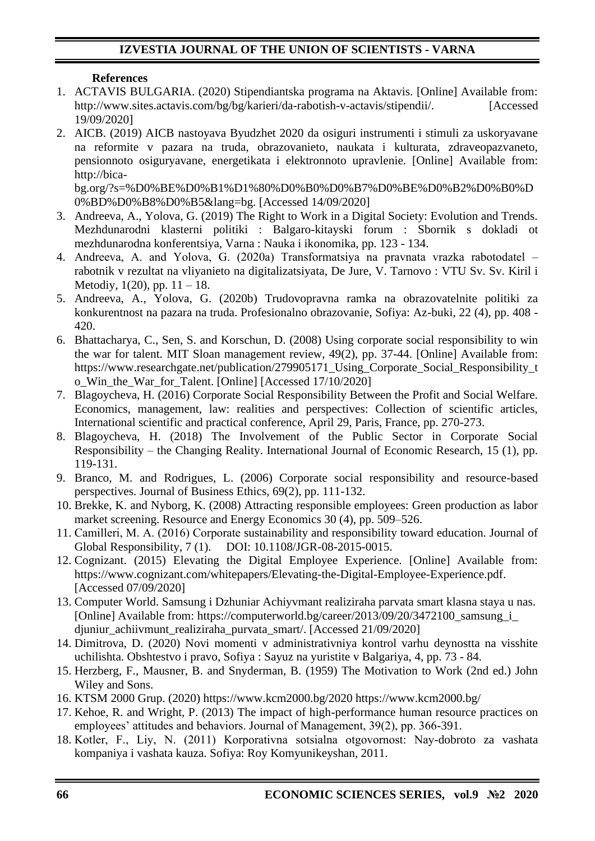# **IZVESTIA JOURNAL OF THE UNION OF SCIENTISTS - VARNA**

## **References**

- 1. ACTAVIS BULGARIA. (2020) Stipendiantska programa na Aktavis. [Online] Available from: http://www.sites.actavis.com/bg/bg/karieri/da-rabotish-v-actavis/stipendii/. [Accessed 19/09/2020]
- 2. AICB. (2019) AICB nastoyava Byudzhet 2020 da osiguri instrumenti i stimuli za uskoryavane na reformite v pazara na truda, obrazovanieto, naukata i kulturata, zdraveopazvaneto, pensionnoto osiguryavane, energetikata i elektronnoto upravlenie. [Online] Available from: http://bica-

bg.org/?s=%D0%BE%D0%B1%D1%80%D0%B0%D0%B7%D0%BE%D0%B2%D0%B0%D 0%BD%D0%B8%D0%B5&lang=bg. [Accessed 14/09/2020]

- 3. Andreeva, A., Yolova, G. (2019) The Right to Work in a Digital Society: Evolution and Trends. Mezhdunarodni klasterni politiki : Balgaro-kitayski forum : Sbornik s dokladi ot mezhdunarodna konferentsiya, Varna : Nauka i ikonomika, pp. 123 - 134.
- 4. Andreeva, A. and Yolova, G. (2020а) Transformatsiya na pravnata vrazka rabotodatel rabotnik v rezultat na vliyanieto na digitalizatsiyata, De Jure, V. Tarnovo : VTU Sv. Sv. Kiril i Metodiy,  $1(20)$ , pp.  $11 - 18$ .
- 5. Andreeva, A., Yolova, G. (2020b) Trudovopravna ramka na obrazovatelnite politiki za konkurentnost na pazara na truda. Profesionalno obrazovanie, Sofiya: Az-buki, 22 (4), pp. 408 - 420.
- 6. Bhattacharya, C., Sen, S. and Korschun, D. (2008) Using corporate social responsibility to win the war for talent. MIT Sloan management review, 49(2), pp. 37-44. [Online] Available from: https://www.researchgate.net/publication/279905171 Using Corporate Social Responsibility t o\_Win\_the\_War\_for\_Talent. [Online] [Accessed 17/10/2020]
- 7. Blagoycheva, H. (2016) Corporate Social Responsibility Between the Profit and Social Welfare. Economics, management, law: realities and perspectives: Collection of scientific articles, International scientific and practical conference, April 29, Paris, France, pp. 270-273.
- 8. Blagoycheva, H. (2018) The Involvement of the Public Sector in Corporate Social Responsibility – the Changing Reality. International Journal of Economic Research, 15 (1), pp. 119-131.
- 9. Branco, M. and Rodrigues, L. (2006) Corporate social responsibility and resource-based perspectives. Journal of Business Ethics, 69(2), pp. 111-132.
- 10. Brekke, K. and Nyborg, K. (2008) Attracting responsible employees: Green production as labor market screening. Resource and Energy Economics 30 (4), pp. 509–526.
- 11. Camilleri, M. А. (2016) Corporate sustainability and responsibility toward education. Journal of Global Responsibility, 7 (1). DOI: 10.1108/JGR-08-2015-0015.
- 12. Cognizant. (2015) Elevating the Digital Employee Experience. [Online] Available from: https://www.cognizant.com/whitepapers/Elevating-the-Digital-Employee-Experience.pdf. [Accessed 07/09/2020]
- 13. Computer World. Samsung i Dzhuniar Achiyvmant realiziraha parvata smart klasna staya u nas. [Online] Available from: https://computerworld.bg/career/2013/09/20/3472100\_samsung\_i\_ djuniur\_achiivmunt\_realiziraha\_purvata\_smart/. [Accessed 21/09/2020]
- 14. Dimitrova, D. (2020) Novi momenti v administrativniya kontrol varhu deynostta na visshite uchilishta. Obshtestvo i pravo, Sofiya : Sayuz na yuristite v Balgariya, 4, pp. 73 - 84.
- 15. Herzberg, F., Mausner, B. and Snyderman, B. (1959) The Motivation to Work (2nd ed.) John Wiley and Sons.
- 16. KTSM 2000 Grup. (2020) https://www.kcm2000.bg/2020 https://www.kcm2000.bg/
- 17. Kehoe, R. and Wright, P. (2013) The impact of high-performance human resource practices on employees' attitudes and behaviors. Journal of Management, 39(2), pp. 366-391.
- 18. Kotlеr, F., Liy, N. (2011) Korporativna sotsialna otgovornost: Nay-dobroto za vashata kompaniya i vashata kauza. Sofiya: Roy Komyunikeyshan, 2011.